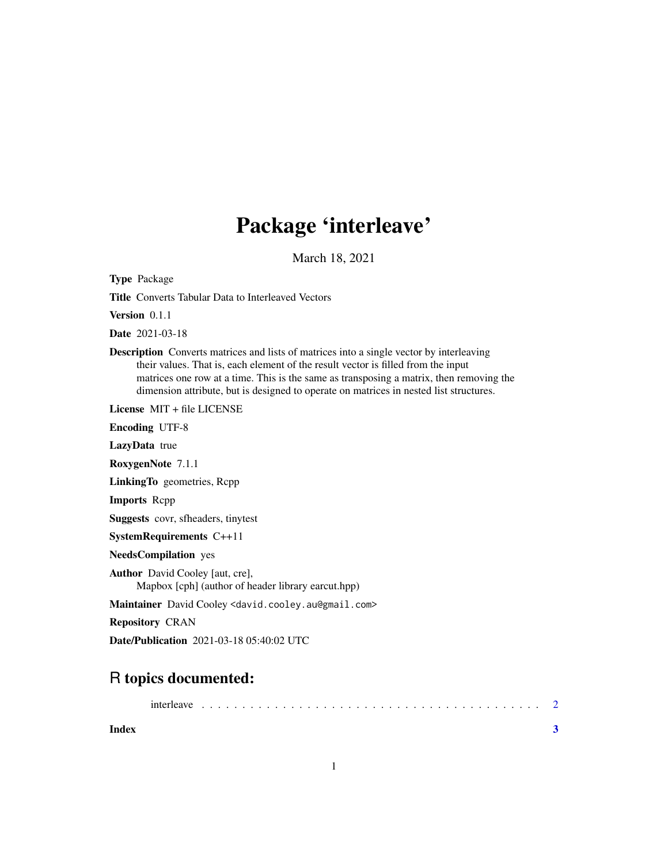## Package 'interleave'

March 18, 2021

Type Package

Title Converts Tabular Data to Interleaved Vectors

Version 0.1.1

Date 2021-03-18

Description Converts matrices and lists of matrices into a single vector by interleaving their values. That is, each element of the result vector is filled from the input matrices one row at a time. This is the same as transposing a matrix, then removing the dimension attribute, but is designed to operate on matrices in nested list structures.

License MIT + file LICENSE

Encoding UTF-8

LazyData true

RoxygenNote 7.1.1

LinkingTo geometries, Rcpp

Imports Rcpp

Suggests covr, sfheaders, tinytest

SystemRequirements C++11

NeedsCompilation yes

Author David Cooley [aut, cre], Mapbox [cph] (author of header library earcut.hpp)

Maintainer David Cooley <david.cooley.au@gmail.com>

Repository CRAN

Date/Publication 2021-03-18 05:40:02 UTC

### R topics documented:

| interleave |  |  |  |  |  |  |  |  |  |  |  |  |  |  |  |  |  |  |  |  |  |
|------------|--|--|--|--|--|--|--|--|--|--|--|--|--|--|--|--|--|--|--|--|--|
|            |  |  |  |  |  |  |  |  |  |  |  |  |  |  |  |  |  |  |  |  |  |

**Index** [3](#page-2-0)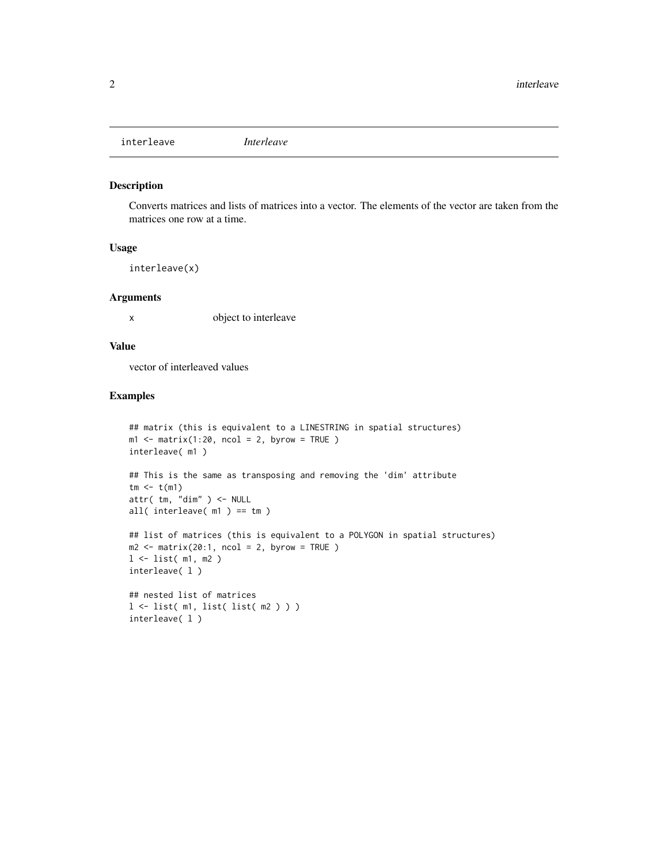<span id="page-1-0"></span>interleave *Interleave*

#### Description

Converts matrices and lists of matrices into a vector. The elements of the vector are taken from the matrices one row at a time.

#### Usage

interleave(x)

#### Arguments

x object to interleave

#### Value

vector of interleaved values

#### Examples

```
## matrix (this is equivalent to a LINESTRING in spatial structures)
m1 <- matrix(1:20, ncol = 2, byrow = TRUE)interleave( m1 )
## This is the same as transposing and removing the 'dim' attribute
tm < - t(m1)attr( tm, "dim" ) <- NULL
all( interleave( m1 ) == tm )
## list of matrices (this is equivalent to a POLYGON in spatial structures)
m2 \le - matrix(20:1, ncol = 2, byrow = TRUE )
l <- list( m1, m2 )
interleave( l )
## nested list of matrices
l <- list( m1, list( list( m2 ) ) )
interleave( l )
```